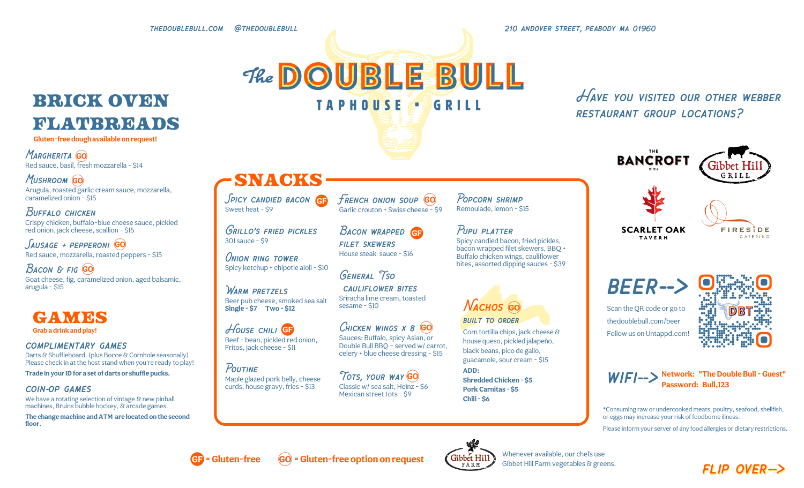thedoublebull.com @thedoublebull 210 andover street, peabody ma 01960

## **BRICK OVEN** flatbreads

**Gluten-free dough available on request!**

**MARGHERITA GO** Red sauce, basil, fresh mozzarella - \$14

MUSHROOM GO Arugula, roasted garlic cream sauce, mozzarella, caramelized onion - \$15

#### Buffalo chicken Crispy chicken, buffalo-blue cheese sauce, pickled red onion, jack cheese, scallion - \$15

 $S$ AUSAGE + PEPPERONI  $GO$ Red sauce, mozzarella, roasted peppers - \$15

**BACON & FIG GO** Goat cheese, fig, caramelized onion, aged balsamic, arugula - \$15

### GAMES **Grab a drink and play!**

#### complimentary games

Darts & Shuffleboard. (plus Bocce & Cornhole seasonally) Please check in at the host stand when you're ready to play!

**Trade in your IDfor a set of darts or shuffle pucks.**

#### coin-op games

We have a rotating selection of vintage & new pinball machines, Bruins bubble hockey, & arcade games.

**The change machine andATM are located on the second floor.**

SPICY CANDIED BACON (8) Sweet heat - \$9

snacks

Grillo's fried pickles 301 sauce - \$9

Onion ring tower Spicy ketchup + chipotle aioli - \$10

WARM PRETZELS Beer pub cheese, smoked sea salt **Single - \$7 Two - \$12**

#### HOUSE CHILI **GP** Beef + bean, pickled red onion, Fritos, jack cheese - \$11

POLITINE Maple glazed pork belly, cheese curds, house gravy, fries - \$13

FRENCH ONION SOUP **GO** Garlic crouton + Swiss cheese - \$9

The DOUBLE BULL

**TAPHOUSE** 

BACON WRAPPED **GB** House steak sauce - \$16 Pupu platter

 $6$ RII

General Tso cauliflower bites

Sriracha lime cream, toasted sesame - \$10

filet skewers

CHICKEN WINGS X 8 GO Sauces: Buffalo, spicy Asian, or Double Bull BBQ – served w/ carrot, celery + blue cheese dressing - \$15

TOTS, YOUR WAY GO Classic w/ sea salt, Heinz - \$6 Mexican street tots - \$9

Remoulade, lemon - \$15

Popcorn shrimp

Spicy candied bacon, fried pickles, bacon wrapped filet skewers, BBQ + Buffalo chicken wings, cauliflower bites, assorted dipping sauces - \$39



Corn tortilla chips, jack cheese &

house queso, pickled jalapeño, black beans, pico de gallo, guacamole, sour cream - \$15

**ADD: Shredded Chicken - \$5 Pork Carnitas - \$5 Chili - \$6**

## Have you visited our other webber restaurant group locations?





beer--> Scan the QR code or go to thedoublebull.com/beer Follow us on Untappd.com!





\*Consuming raw or undercooked meats, poultry, seafood, shellfish, or eggs may increase your risk of foodborne illness.

Please inform your server of any food allergies or dietary restrictions.





Whenever available, our chefs use Gibbet Hill Farm vegetables & greens.